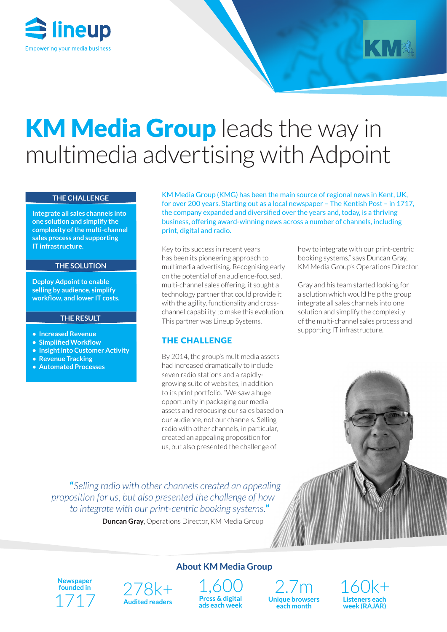



# KM Media Group leads the way in multimedia advertising with Adpoint

#### **THE CHALLENGE**

**Integrate all sales channels into one solution and simplify the complexity of the multi-channel sales process and supporting IT infrastructure.**

#### **THE SOLUTION**

**Deploy Adpoint to enable selling by audience, simplify workflow, and lower IT costs.**

#### **THE RESULT**

- **• Increased Revenue**
- **• Simplified Workflow**
- **• Insight into Customer Activity**
- **• Revenue Tracking**
- **• Automated Processes**

KM Media Group (KMG) has been the main source of regional news in Kent, UK, for over 200 years. Starting out as a local newspaper – The Kentish Post – in 1717, the company expanded and diversified over the years and, today, is a thriving business, offering award-winning news across a number of channels, including print, digital and radio.

Key to its success in recent years has been its pioneering approach to multimedia advertising. Recognising early on the potential of an audience-focused, multi-channel sales offering, it sought a technology partner that could provide it with the agility, functionality and crosschannel capability to make this evolution. This partner was Lineup Systems.

#### THE CHALLENGE

By 2014, the group's multimedia assets had increased dramatically to include seven radio stations and a rapidlygrowing suite of websites, in addition to its print portfolio. "We saw a huge opportunity in packaging our media assets and refocusing our sales based on our audience, not our channels. Selling radio with other channels, in particular, created an appealing proposition for us, but also presented the challenge of

how to integrate with our print-centric booking systems," says Duncan Gray, KM Media Group's Operations Director.

Gray and his team started looking for a solution which would help the group integrate all sales channels into one solution and simplify the complexity of the multi-channel sales process and supporting IT infrastructure.

"*Selling radio with other channels created an appealing proposition for us, but also presented the challenge of how to integrate with our print-centric booking systems.*"

**Duncan Gray**, Operations Director, KM Media Group

**Newspaper founded in** 1717



**About KM Media Group**



2.7m **Unique browsers each month**

160k+ **Listeners each week (RAJAR)**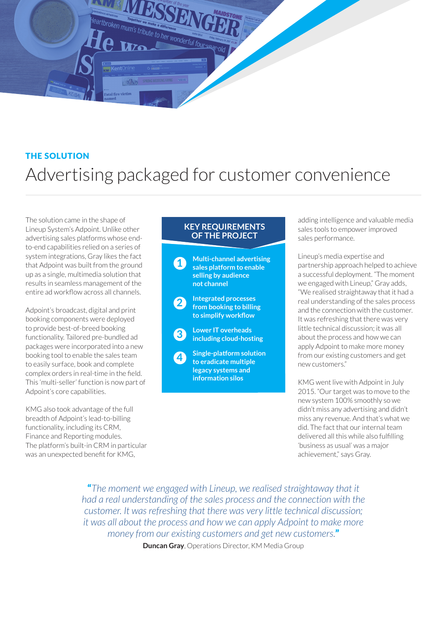

# THE SOLUTION Advertising packaged for customer convenience

The solution came in the shape of Lineup System's Adpoint. Unlike other advertising sales platforms whose endto-end capabilities relied on a series of system integrations, Gray likes the fact that Adpoint was built from the ground up as a single, multimedia solution that results in seamless management of the entire ad workflow across all channels.

Adpoint's broadcast, digital and print booking components were deployed to provide best-of-breed booking functionality. Tailored pre-bundled ad packages were incorporated into a new booking tool to enable the sales team to easily surface, book and complete complex orders in real-time in the field. This 'multi-seller' function is now part of Adpoint's core capabilities.

KMG also took advantage of the full breadth of Adpoint's lead-to-billing functionality, including its CRM, Finance and Reporting modules. The platform's built-in CRM in particular was an unexpected benefit for KMG,

### **KEY REQUIREMENTS OF THE PROJECT**



adding intelligence and valuable media sales tools to empower improved sales performance.

Lineup's media expertise and partnership approach helped to achieve a successful deployment. "The moment we engaged with Lineup," Gray adds, "We realised straightaway that it had a real understanding of the sales process and the connection with the customer. It was refreshing that there was very little technical discussion; it was all about the process and how we can apply Adpoint to make more money from our existing customers and get new customers."

KMG went live with Adpoint in July 2015. "Our target was to move to the new system 100% smoothly so we didn't miss any advertising and didn't miss any revenue. And that's what we did. The fact that our internal team delivered all this while also fulfilling 'business as usual' was a major achievement," says Gray.

"*The moment we engaged with Lineup, we realised straightaway that it had a real understanding of the sales process and the connection with the customer. It was refreshing that there was very little technical discussion; it was all about the process and how we can apply Adpoint to make more money from our existing customers and get new customers.*"

**Duncan Gray**, Operations Director, KM Media Group